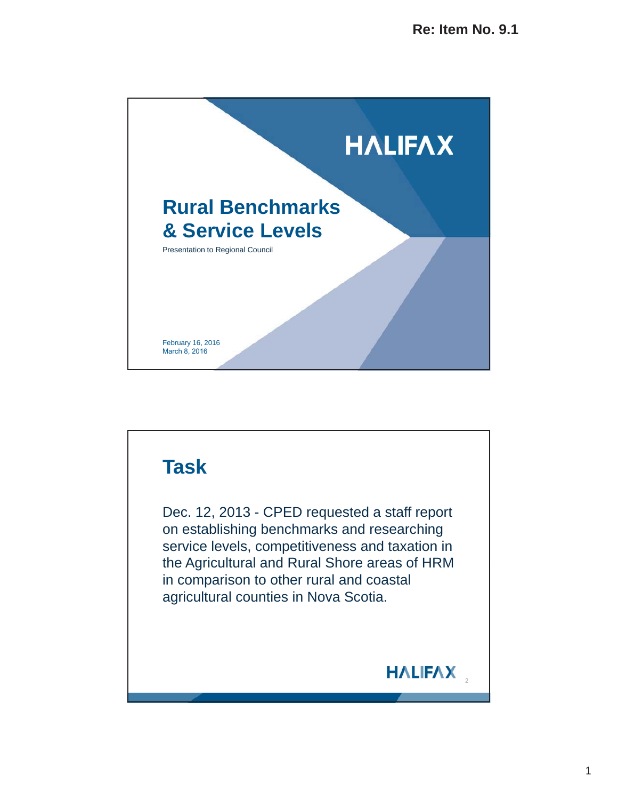

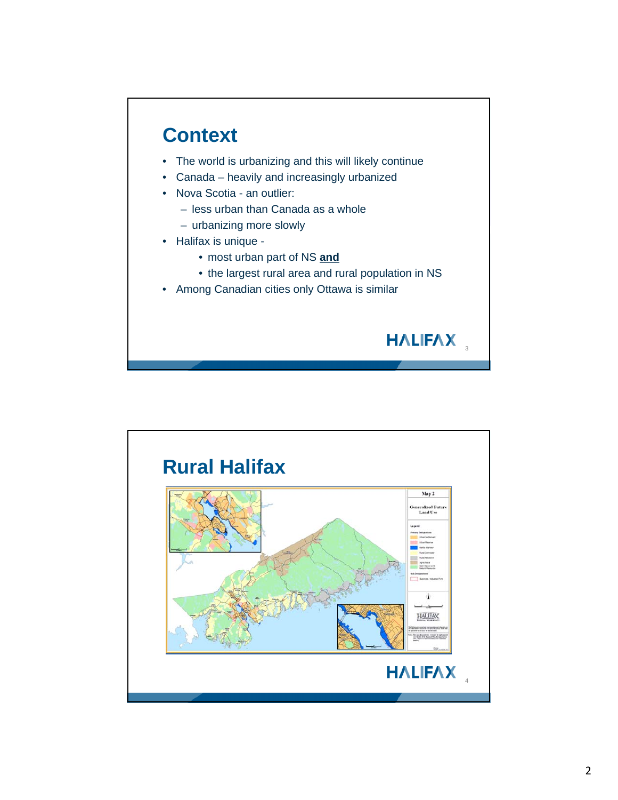

- The world is urbanizing and this will likely continue
- Canada heavily and increasingly urbanized
- Nova Scotia an outlier:
	- less urban than Canada as a whole
	- urbanizing more slowly
- Halifax is unique
	- most urban part of NS **and**
	- the largest rural area and rural population in NS

HALIFAX

• Among Canadian cities only Ottawa is similar